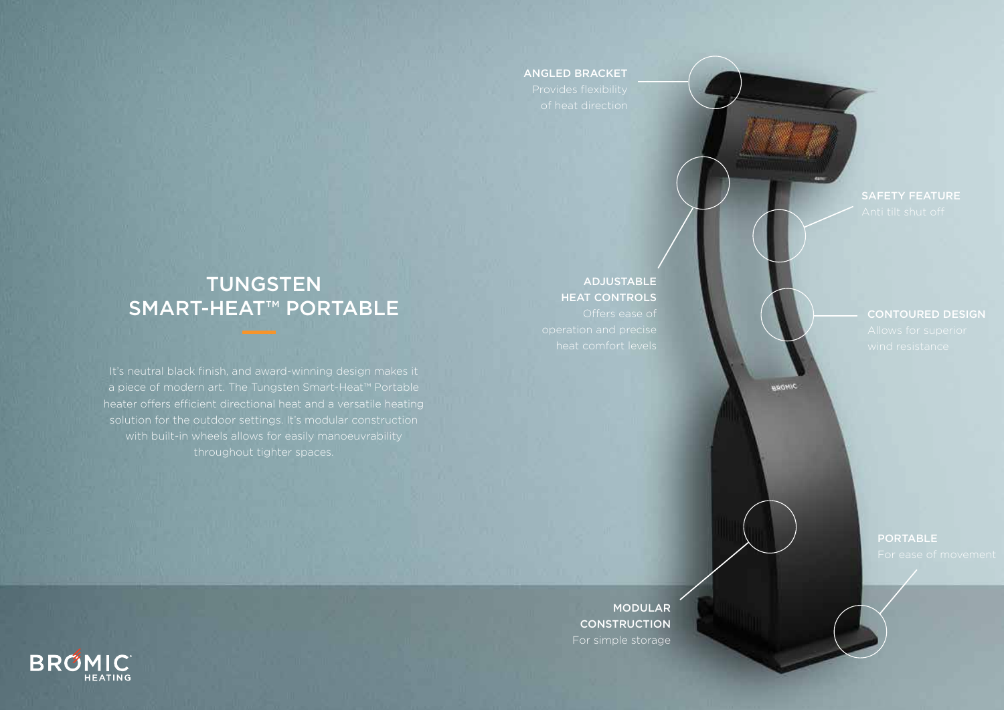#### ANGLED BRACKET

### TUNGSTEN SMART-HEAT™ PORTABLE

ADJUSTABLE HEAT CONTROLS

CONTOURED DESIGN

BROWIC

PORTABLE

MODULAR **CONSTRUCTION** For simple storage

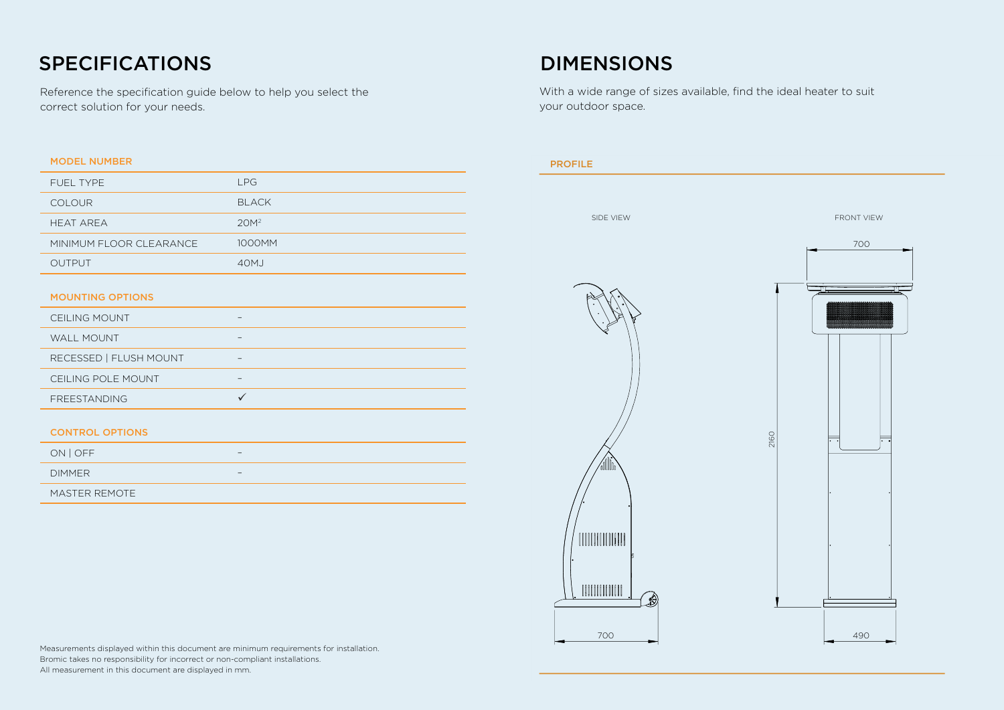## SPECIFICATIONS DIMENSIONS

Reference the specification guide below to help you select the correct solution for your needs.

| <b>MODEL NUMBER</b>     |                  |
|-------------------------|------------------|
| <b>FUEL TYPE</b>        | LPG              |
| <b>COLOUR</b>           | <b>BLACK</b>     |
| <b>HEAT AREA</b>        | 20M <sup>2</sup> |
| MINIMUM FLOOR CLEARANCE | 1000MM           |
| <b>OUTPUT</b>           | 40M <sub>J</sub> |
|                         |                  |
| <b>MOUNTING OPTIONS</b> |                  |
| <b>CEILING MOUNT</b>    |                  |
|                         |                  |

| WALL MOUNT             |  |
|------------------------|--|
| RECESSED   FLUSH MOUNT |  |
| CEILING POLE MOUNT     |  |
| <b>FREESTANDING</b>    |  |

#### CONTROL OPTIONS

| ON OFF        | -                        |
|---------------|--------------------------|
| <b>DIMMER</b> | $\overline{\phantom{0}}$ |
| MASTER REMOTE |                          |

With a wide range of sizes available, find the ideal heater to suit your outdoor space.



Measurements displayed within this document are minimum requirements for installation. Bromic takes no responsibility for incorrect or non-compliant installations. All measurement in this document are displayed in mm.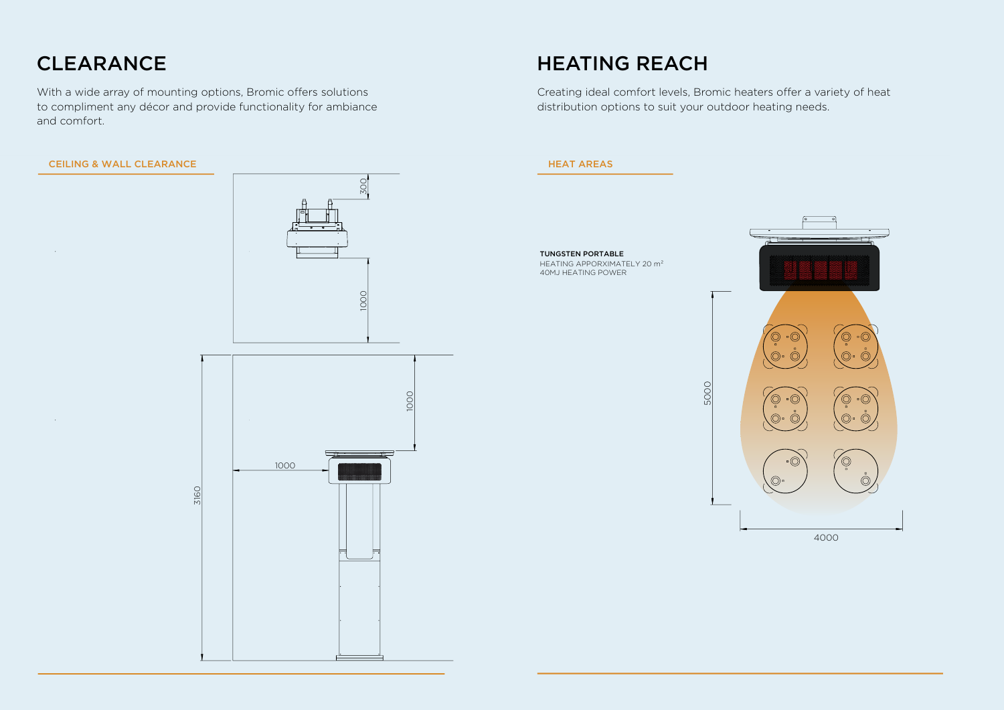### CLEARANCE

With a wide array of mounting options, Bromic offers solutions to compliment any décor and provide functionality for ambiance and comfort.

#### **CEILING & WALL CLEARANCE**





### HEATING REACH

Creating ideal comfort levels, Bromic heaters offer a variety of heat distribution options to suit your outdoor heating needs.

#### HEAT AREAS

TUNGSTEN PORTABLE HEATING APPORXIMATELY 20 m<sup>2</sup> 40MJ HEATING POWER